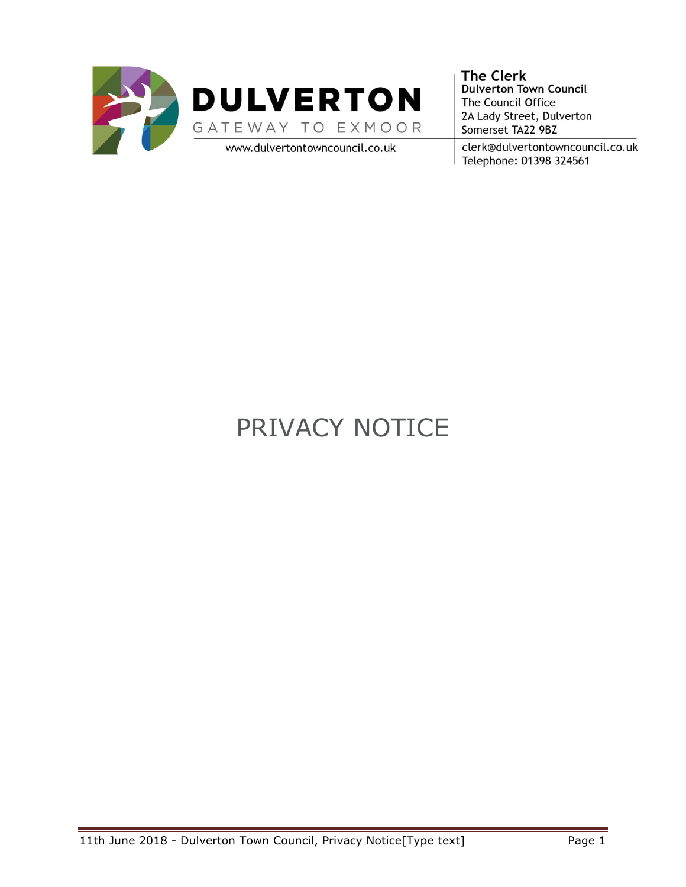

**The Clerk** Dulverton Town Council The Council Office 2A Lady Street, Dulverton Somerset TA22 9BZ

clerk@dulvertontowncouncil.co.uk Telephone: 01398 324561

# PRIVACY NOTICE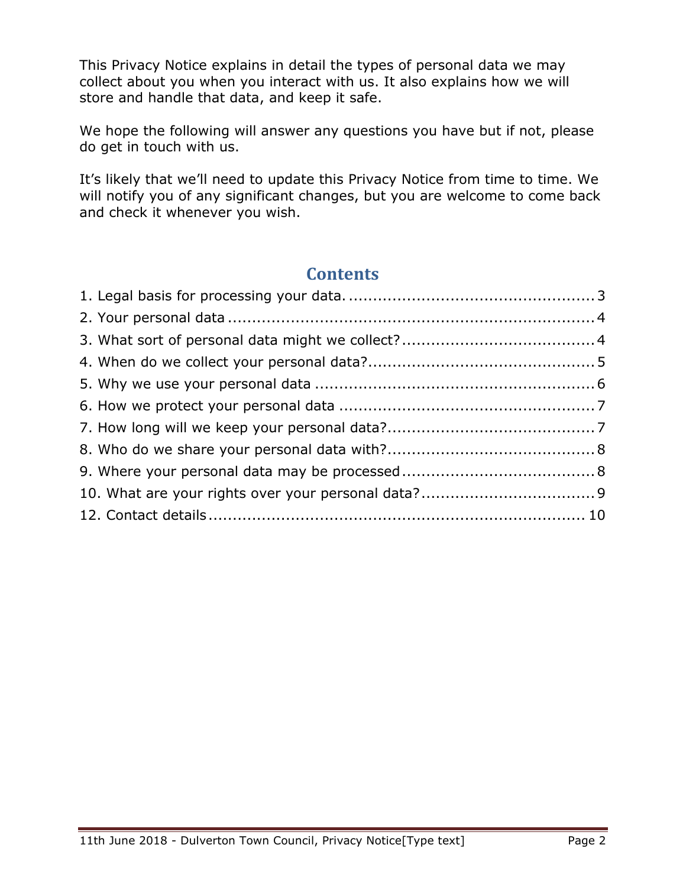This Privacy Notice explains in detail the types of personal data we may collect about you when you interact with us. It also explains how we will store and handle that data, and keep it safe.

We hope the following will answer any questions you have but if not, please do get in touch with us.

It's likely that we'll need to update this Privacy Notice from time to time. We will notify you of any significant changes, but you are welcome to come back and check it whenever you wish.

# **Contents**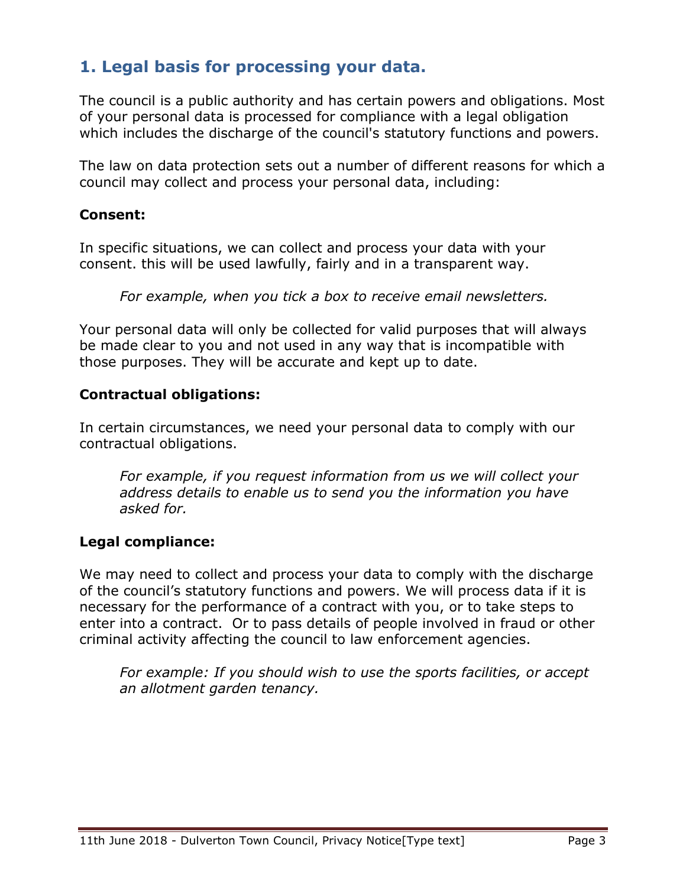# <span id="page-2-0"></span>**1. Legal basis for processing your data.**

The council is a public authority and has certain powers and obligations. Most of your personal data is processed for compliance with a legal obligation which includes the discharge of the council's statutory functions and powers.

The law on data protection sets out a number of different reasons for which a council may collect and process your personal data, including:

#### **Consent:**

In specific situations, we can collect and process your data with your consent. this will be used lawfully, fairly and in a transparent way.

*For example, when you tick a box to receive email newsletters.*

Your personal data will only be collected for valid purposes that will always be made clear to you and not used in any way that is incompatible with those purposes. They will be accurate and kept up to date.

#### **Contractual obligations:**

In certain circumstances, we need your personal data to comply with our contractual obligations.

*For example, if you request information from us we will collect your address details to enable us to send you the information you have asked for.*

#### **Legal compliance:**

We may need to collect and process your data to comply with the discharge of the council's statutory functions and powers. We will process data if it is necessary for the performance of a contract with you, or to take steps to enter into a contract.Or to pass details of people involved in fraud or other criminal activity affecting the council to law enforcement agencies.

*For example: If you should wish to use the sports facilities, or accept an allotment garden tenancy.*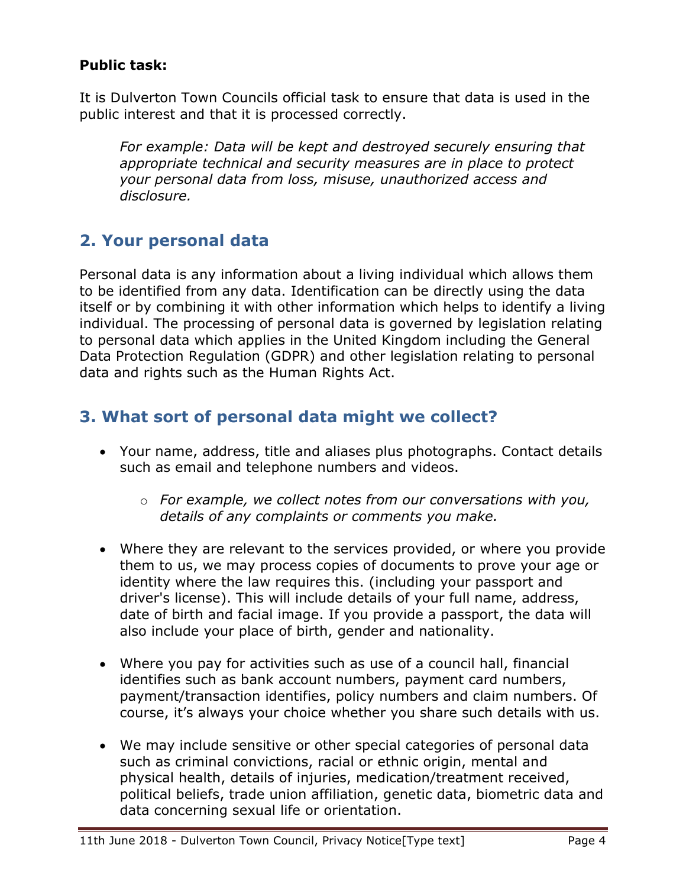## **Public task:**

It is Dulverton Town Councils official task to ensure that data is used in the public interest and that it is processed correctly.

*For example: Data will be kept and destroyed securely ensuring that appropriate technical and security measures are in place to protect your personal data from loss, misuse, unauthorized access and disclosure.* 

## <span id="page-3-0"></span>**2. Your personal data**

Personal data is any information about a living individual which allows them to be identified from any data. Identification can be directly using the data itself or by combining it with other information which helps to identify a living individual. The processing of personal data is governed by legislation relating to personal data which applies in the United Kingdom including the General Data Protection Regulation (GDPR) and other legislation relating to personal data and rights such as the Human Rights Act.

# <span id="page-3-1"></span>**3. What sort of personal data might we collect?**

- Your name, address, title and aliases plus photographs. Contact details such as email and telephone numbers and videos.
	- o *For example, we collect notes from our conversations with you, details of any complaints or comments you make.*
- Where they are relevant to the services provided, or where you provide them to us, we may process copies of documents to prove your age or identity where the law requires this. (including your passport and driver's license). This will include details of your full name, address, date of birth and facial image. If you provide a passport, the data will also include your place of birth, gender and nationality.
- Where you pay for activities such as use of a council hall, financial identifies such as bank account numbers, payment card numbers, payment/transaction identifies, policy numbers and claim numbers. Of course, it's always your choice whether you share such details with us.
- We may include sensitive or other special categories of personal data such as criminal convictions, racial or ethnic origin, mental and physical health, details of injuries, medication/treatment received, political beliefs, trade union affiliation, genetic data, biometric data and data concerning sexual life or orientation.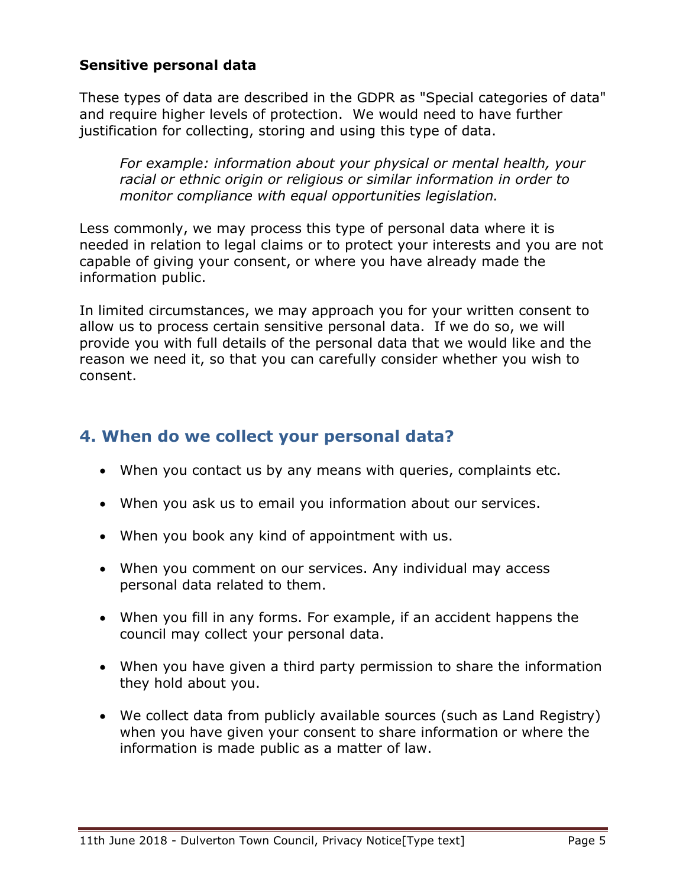#### **Sensitive personal data**

These types of data are described in the GDPR as "Special categories of data" and require higher levels of protection. We would need to have further justification for collecting, storing and using this type of data.

*For example: information about your physical or mental health, your racial or ethnic origin or religious or similar information in order to monitor compliance with equal opportunities legislation.*

Less commonly, we may process this type of personal data where it is needed in relation to legal claims or to protect your interests and you are not capable of giving your consent, or where you have already made the information public.

In limited circumstances, we may approach you for your written consent to allow us to process certain sensitive personal data. If we do so, we will provide you with full details of the personal data that we would like and the reason we need it, so that you can carefully consider whether you wish to consent.

## <span id="page-4-0"></span>**4. When do we collect your personal data?**

- When you contact us by any means with queries, complaints etc.
- When you ask us to email you information about our services.
- When you book any kind of appointment with us.
- When you comment on our services. Any individual may access personal data related to them.
- When you fill in any forms. For example, if an accident happens the council may collect your personal data.
- When you have given a third party permission to share the information they hold about you.
- We collect data from publicly available sources (such as Land Registry) when you have given your consent to share information or where the information is made public as a matter of law.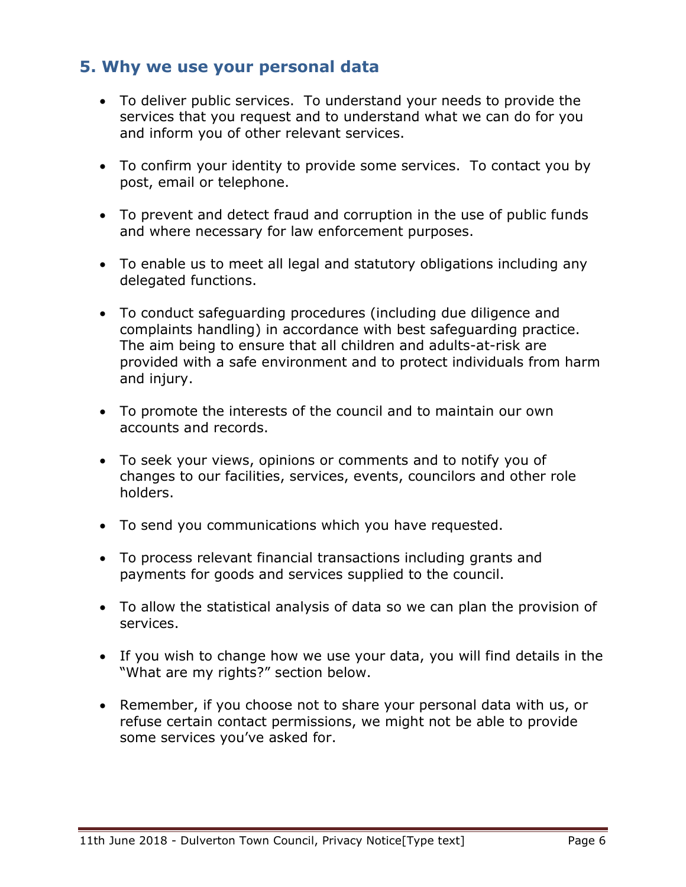## <span id="page-5-0"></span>**5. Why we use your personal data**

- To deliver public services. To understand your needs to provide the services that you request and to understand what we can do for you and inform you of other relevant services.
- To confirm your identity to provide some services. To contact you by post, email or telephone.
- To prevent and detect fraud and corruption in the use of public funds and where necessary for law enforcement purposes.
- To enable us to meet all legal and statutory obligations including any delegated functions.
- To conduct safeguarding procedures (including due diligence and complaints handling) in accordance with best safeguarding practice. The aim being to ensure that all children and adults-at-risk are provided with a safe environment and to protect individuals from harm and injury.
- To promote the interests of the council and to maintain our own accounts and records.
- To seek your views, opinions or comments and to notify you of changes to our facilities, services, events, councilors and other role holders.
- To send you communications which you have requested.
- To process relevant financial transactions including grants and payments for goods and services supplied to the council.
- To allow the statistical analysis of data so we can plan the provision of services.
- If you wish to change how we use your data, you will find details in the "What are my rights?" section below.
- Remember, if you choose not to share your personal data with us, or refuse certain contact permissions, we might not be able to provide some services you've asked for.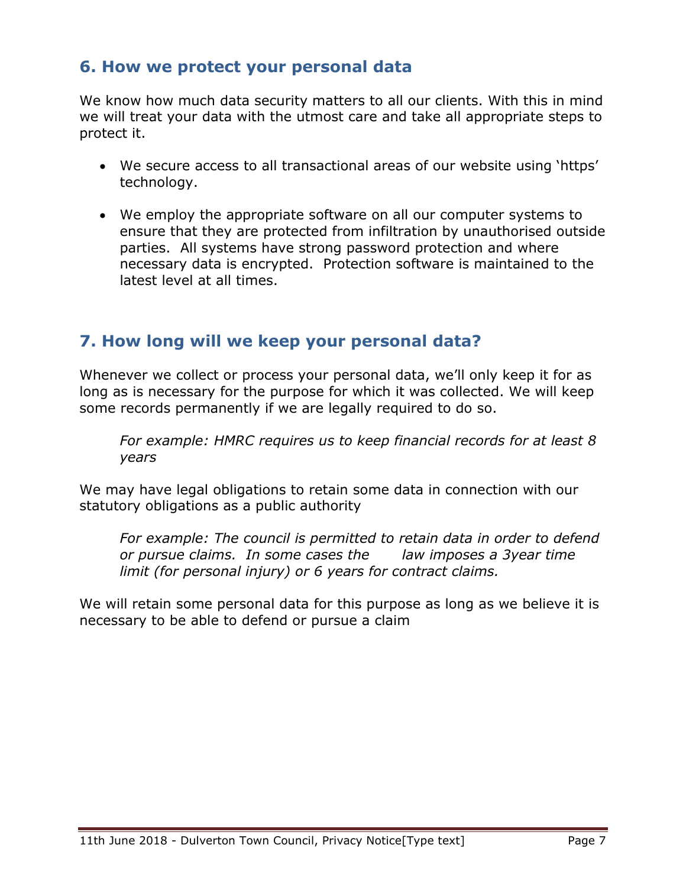## <span id="page-6-0"></span>**6. How we protect your personal data**

We know how much data security matters to all our clients. With this in mind we will treat your data with the utmost care and take all appropriate steps to protect it.

- We secure access to all transactional areas of our website using 'https' technology.
- We employ the appropriate software on all our computer systems to ensure that they are protected from infiltration by unauthorised outside parties. All systems have strong password protection and where necessary data is encrypted. Protection software is maintained to the latest level at all times.

# <span id="page-6-1"></span>**7. How long will we keep your personal data?**

Whenever we collect or process your personal data, we'll only keep it for as long as is necessary for the purpose for which it was collected. We will keep some records permanently if we are legally required to do so.

*For example: HMRC requires us to keep financial records for at least 8 years*

We may have legal obligations to retain some data in connection with our statutory obligations as a public authority

*For example: The council is permitted to retain data in order to defend or pursue claims. In some cases the law imposes a 3year time limit (for personal injury) or 6 years for contract claims.*

We will retain some personal data for this purpose as long as we believe it is necessary to be able to defend or pursue a claim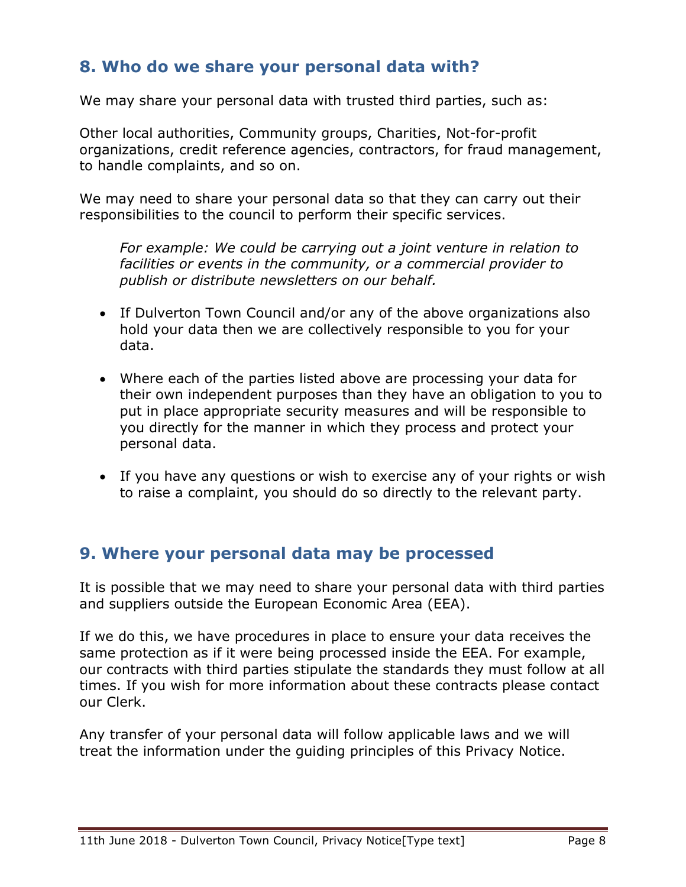# <span id="page-7-0"></span>**8. Who do we share your personal data with?**

We may share your personal data with trusted third parties, such as:

Other local authorities, Community groups, Charities, Not-for-profit organizations, credit reference agencies, contractors, for fraud management, to handle complaints, and so on.

We may need to share your personal data so that they can carry out their responsibilities to the council to perform their specific services.

*For example: We could be carrying out a joint venture in relation to facilities or events in the community, or a commercial provider to publish or distribute newsletters on our behalf.*

- If Dulverton Town Council and/or any of the above organizations also hold your data then we are collectively responsible to you for your data.
- Where each of the parties listed above are processing your data for their own independent purposes than they have an obligation to you to put in place appropriate security measures and will be responsible to you directly for the manner in which they process and protect your personal data.
- If you have any questions or wish to exercise any of your rights or wish to raise a complaint, you should do so directly to the relevant party.

## <span id="page-7-1"></span>**9. Where your personal data may be processed**

It is possible that we may need to share your personal data with third parties and suppliers outside the European Economic Area (EEA).

If we do this, we have procedures in place to ensure your data receives the same protection as if it were being processed inside the EEA. For example, our contracts with third parties stipulate the standards they must follow at all times. If you wish for more information about these contracts please contact our Clerk.

Any transfer of your personal data will follow applicable laws and we will treat the information under the guiding principles of this Privacy Notice.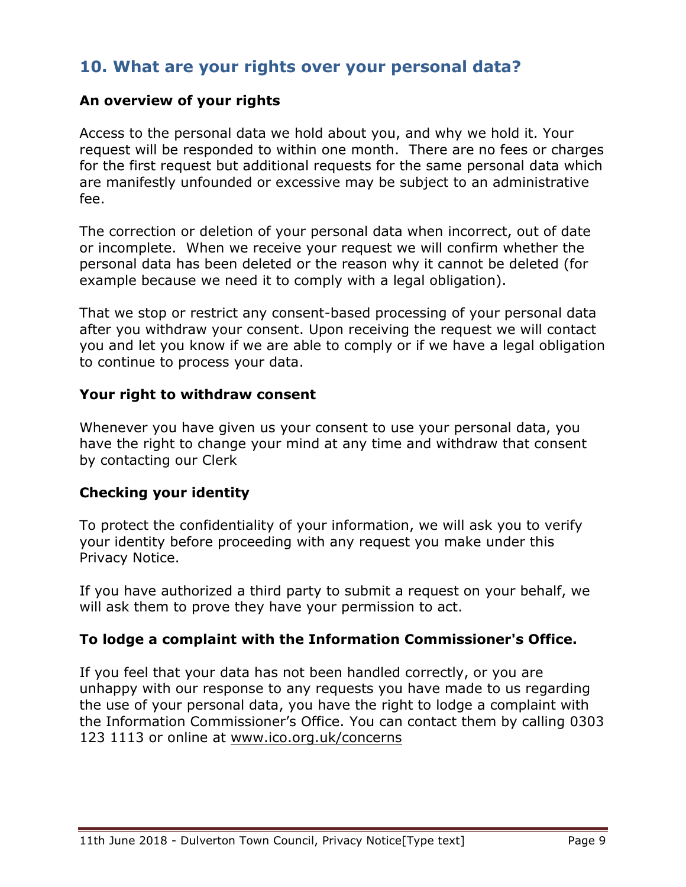## <span id="page-8-0"></span>**10. What are your rights over your personal data?**

#### **An overview of your rights**

Access to the personal data we hold about you, and why we hold it. Your request will be responded to within one month. There are no fees or charges for the first request but additional requests for the same personal data which are manifestly unfounded or excessive may be subject to an administrative fee.

The correction or deletion of your personal data when incorrect, out of date or incomplete. When we receive your request we will confirm whether the personal data has been deleted or the reason why it cannot be deleted (for example because we need it to comply with a legal obligation).

That we stop or restrict any consent-based processing of your personal data after you withdraw your consent. Upon receiving the request we will contact you and let you know if we are able to comply or if we have a legal obligation to continue to process your data.

#### **Your right to withdraw consent**

Whenever you have given us your consent to use your personal data, you have the right to change your mind at any time and withdraw that consent by contacting our Clerk

## **Checking your identity**

To protect the confidentiality of your information, we will ask you to verify your identity before proceeding with any request you make under this Privacy Notice.

If you have authorized a third party to submit a request on your behalf, we will ask them to prove they have your permission to act.

## **To lodge a complaint with the Information Commissioner's Office.**

If you feel that your data has not been handled correctly, or you are unhappy with our response to any requests you have made to us regarding the use of your personal data, you have the right to lodge a complaint with the Information Commissioner's Office. You can contact them by calling 0303 123 1113 or online at [www.ico.org.uk/concerns](http://www.ico.org.uk/concerns)